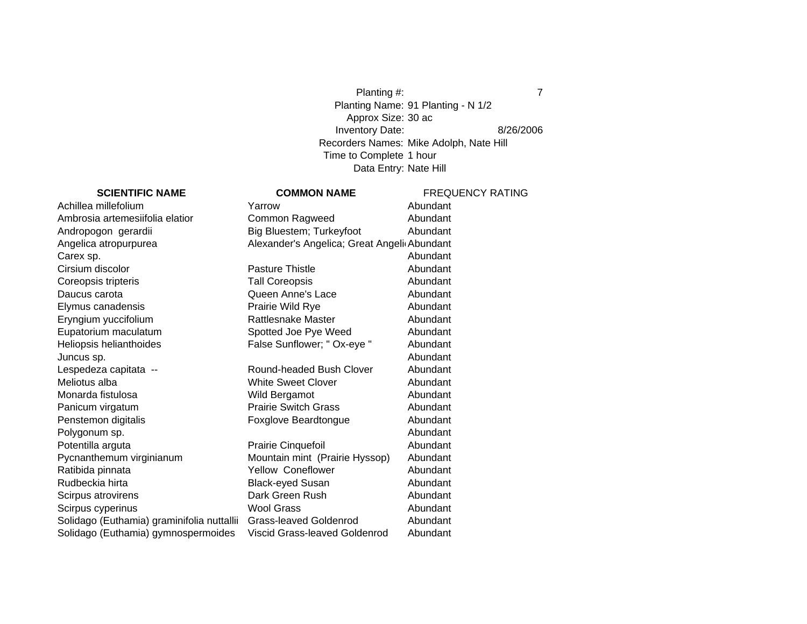Planting #: 7 Planting Name: 91 Planting - N 1/2 Approx Size: 30 ac Inventory Date: 8/26/2006 Recorders Names: Mike Adolph, Nate Hill Time to Complete 1 hour Data Entry: Nate Hill

**COMMON NAME** FREQUENCY RATING

#### **SCIENTIFIC NAME**

Achillea millefoliumAmbrosia artemesiifolia elatiorAndropogon gerardii album Big Bluestem; Turkeyfoot Abundant Angelica atropurpurea Alexander's Angelica; Great Angeli<sup>c</sup> Abundant Coreopsis tripteris Daucus carota Elymus canadensis Eryngium yuccifolium Eupatorium maculatum Heliopsis helianthoides Juncus sp. Lespedeza capitata --Meliotus alba Monarda fistulosa Panicum virgatum Penstemon digitalis Polygonum sp. Potentilla arguta Pycnanthemum virginianum Ratibida pinnata Rudbeckia hirta Scirpus atrovirens Scirpus cyperinus Solidago (Euthamia) graminifolia nuttallii

# Yarrow Abundant Common Ragweed Abundant

| Carex sp.                                  |                                | Abundant |
|--------------------------------------------|--------------------------------|----------|
| Cirsium discolor                           | <b>Pasture Thistle</b>         | Abundant |
| Coreopsis tripteris                        | <b>Tall Coreopsis</b>          | Abundant |
| Daucus carota                              | Queen Anne's Lace              | Abundant |
| Elymus canadensis                          | Prairie Wild Rye               | Abundant |
| Eryngium yuccifolium                       | Rattlesnake Master             | Abundant |
| Eupatorium maculatum                       | Spotted Joe Pye Weed           | Abundant |
| Heliopsis helianthoides                    | False Sunflower; " Ox-eye "    | Abundant |
| Juncus sp.                                 |                                | Abundant |
| Lespedeza capitata --                      | Round-headed Bush Clover       | Abundant |
| Meliotus alba                              | <b>White Sweet Clover</b>      | Abundant |
| Monarda fistulosa                          | Wild Bergamot                  | Abundant |
| Panicum virgatum                           | <b>Prairie Switch Grass</b>    | Abundant |
| Penstemon digitalis                        | Foxglove Beardtongue           | Abundant |
| Polygonum sp.                              |                                | Abundant |
| Potentilla arguta                          | <b>Prairie Cinquefoil</b>      | Abundant |
| Pycnanthemum virginianum                   | Mountain mint (Prairie Hyssop) | Abundant |
| Ratibida pinnata                           | <b>Yellow Coneflower</b>       | Abundant |
| Rudbeckia hirta                            | <b>Black-eyed Susan</b>        | Abundant |
| Scirpus atrovirens                         | Dark Green Rush                | Abundant |
| Scirpus cyperinus                          | <b>Wool Grass</b>              | Abundant |
| Solidago (Euthamia) graminifolia nuttallii | Grass-leaved Goldenrod         | Abundant |
| Solidago (Euthamia) gymnospermoides        | Viscid Grass-leaved Goldenrod  | Abundant |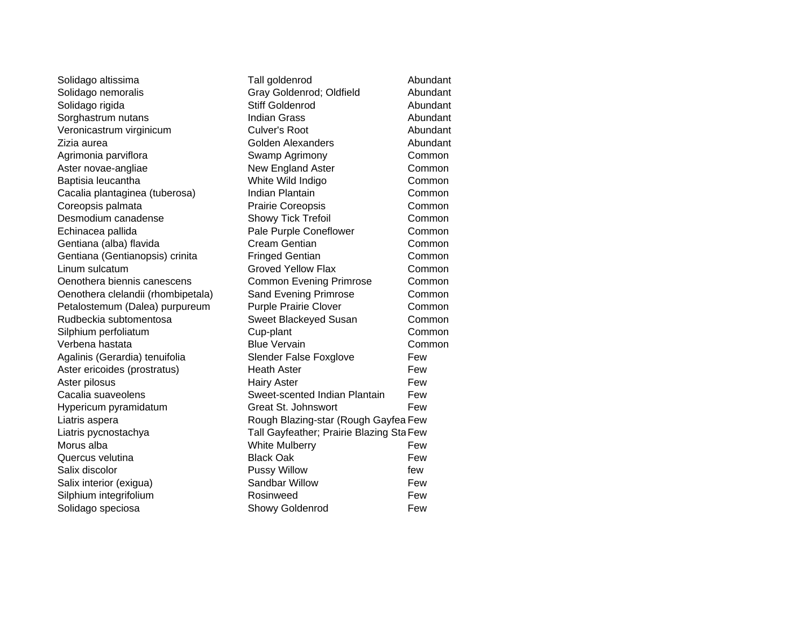Zizia aureaDesmodium canadenseLinum sulcatumOenothera biennis canescensRudbeckia subtomentosaVerbena hastataCacalia suaveolens

Solidago altissima Tall goldenrod Abundant Solidago nemoralis Gray Goldenrod; Oldfield Abundant Solidago rigida Stiff Goldenrod Abundant Sorghastrum nutans Indian Grass Abundant Veronicastrum virginicum Culver's Root Abundant Golden Alexanders **Abundant** Agrimonia parviflora **Summon** Swamp Agrimony **Common** Aster novae-angliae **New England Aster** Common Common Baptisia leucantha **Exercise Sensitism Common** White Wild Indigo Common Cacalia plantaginea (tuberosa) Indian Plantain Common Coreopsis palmata Prairie Coreopsis Common Showy Tick Trefoil Common Echinacea pallida **Pale Purple Coneflower** Common Common Gentiana (alba) flavida Cream Gentian Common Gentiana (Gentianopsis) crinita Fringed Gentian Common Groved Yellow Flax Common Common Evening Primrose Common Oenothera clelandii (rhombipetala) Sand Evening Primrose Common Petalostemum (Dalea) purpureum Purple Prairie Clover Common Sweet Blackeyed Susan Common Silphium perfoliatum Cup-plant Common Blue Vervain **Common** Agalinis (Gerardia) tenuifolia Slender False Foxglove Few Aster ericoides (prostratus) Theath Aster Few Aster pilosus **Aster** Few **Hairy Aster** Few **Few**  Sweet-scented Indian Plantain FewHypericum pyramidatum Great St. Johnswort Few Liatris aspera Rough Blazing-star (Rough Gayfea Few Liatris pycnostachya Tall Gayfeather; Prairie Blazing StaFew Morus alba **Morus alba** White Mulberry **Few** Quercus velutina The Controller Controller Black Oak The Controller Controller Controller Controller Controller Salix discolor **Contract Contract Contract Contract Pussy Willow Few State Contract Contract Contract Contract Contract Contract Contract Contract Contract Contract Contract Contract Contract Contract Contract Contract C** Salix interior (exigua) Sandbar Willow Few Silphium integrifolium **Rosinweed** Few Solidago speciosa **Showy Goldenrod** Few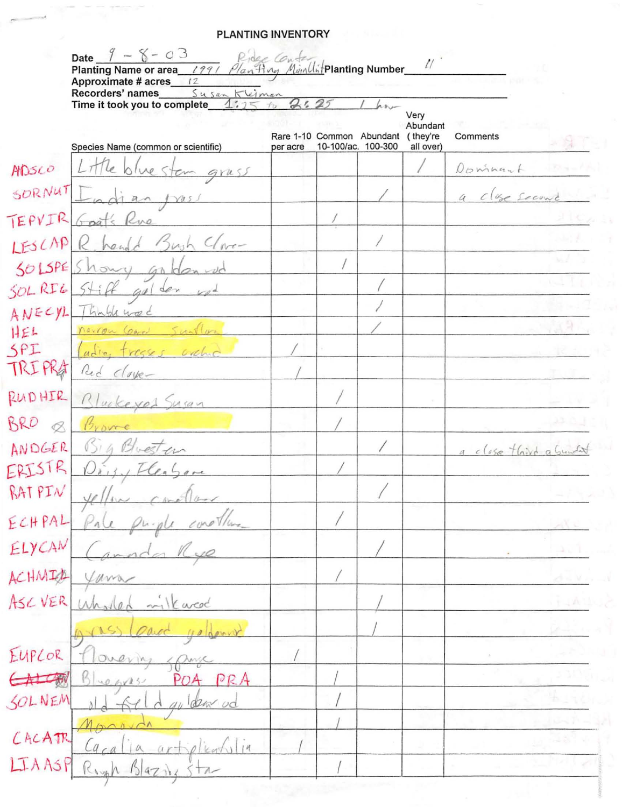### **PLANTING INVENTORY**

|                  | Date $9 - 8 - 03$<br>1991 Planting Mainlinter Danting Number           |          |                                    |           |                     |  |
|------------------|------------------------------------------------------------------------|----------|------------------------------------|-----------|---------------------|--|
|                  | Planting Name or area<br>Approximate # acres 12                        |          |                                    |           |                     |  |
|                  | Recorders' names Susan Kleiman<br>Time it took you to complete 1:25 to | 2.5      |                                    |           |                     |  |
|                  |                                                                        |          |                                    | Very      |                     |  |
|                  |                                                                        |          | Rare 1-10 Common Abundant (they're | Abundant  | Comments            |  |
|                  | Species Name (common or scientific)                                    | per acre | 10-100/ac. 100-300                 | all over) |                     |  |
| ADSCO            | cm gruss                                                               |          |                                    |           | Domnant             |  |
| SORNUT           | $R_{\Lambda}$                                                          |          |                                    |           | Close Second        |  |
| TEPVIR           | rad<                                                                   |          |                                    |           |                     |  |
| LESCAP           | $n -$<br>Van                                                           |          |                                    |           |                     |  |
| 50 5PE           | Showy<br>GЛ                                                            |          |                                    |           |                     |  |
| SOL RIG          | den                                                                    |          |                                    |           |                     |  |
| ANECYL           | huble was                                                              |          |                                    |           |                     |  |
| HEL              | Navron                                                                 |          |                                    |           |                     |  |
| SPI              | tresses orchic<br>$u_t$ le                                             |          |                                    |           |                     |  |
| TRIPRA           | Red Cloye-                                                             |          |                                    |           |                     |  |
| RUDHIR           | Rluckeyes<br>Msan                                                      |          |                                    |           |                     |  |
| BRO<br>$\oslash$ | Brown                                                                  |          |                                    |           |                     |  |
| ANDGER           | Sig Bluesten                                                           |          |                                    |           | a close third abund |  |
| ERISTR           |                                                                        |          |                                    |           |                     |  |
| RAT PIN          | $\frac{1}{\sqrt{2}}$                                                   |          |                                    |           |                     |  |
| ECHPAL           |                                                                        |          |                                    |           |                     |  |
| ELYCAN           |                                                                        |          |                                    |           |                     |  |
| ACHMIA           |                                                                        |          |                                    |           |                     |  |
| ASC VER          |                                                                        |          |                                    |           |                     |  |
|                  |                                                                        |          |                                    |           |                     |  |
| EUPLOR           |                                                                        |          |                                    |           |                     |  |
|                  | PRA                                                                    |          |                                    |           |                     |  |
| SOLNEM           | dem ud                                                                 |          |                                    |           |                     |  |
|                  |                                                                        |          |                                    |           |                     |  |
| CACATR           | $\left(14\right)$                                                      |          |                                    |           |                     |  |
| LTAASF           | h<br>471                                                               |          |                                    |           |                     |  |

Ϊ

I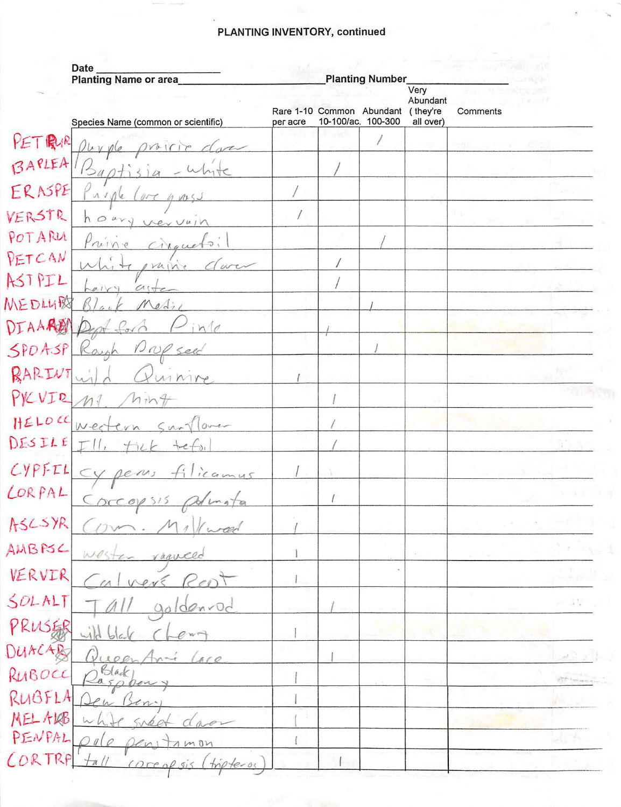## PLANTING INVENTORY, continued

|                | Date<br>Planting Name or area        |          |                                                                                    |                               |          |
|----------------|--------------------------------------|----------|------------------------------------------------------------------------------------|-------------------------------|----------|
|                | Species Name (common or scientific)  | per acre | <b>Planting Number</b><br>Rare 1-10 Common Abundant (they're<br>10-100/ac. 100-300 | Very<br>Abundant<br>all over) | Comments |
| PETRUR         | are                                  |          |                                                                                    |                               | 9802     |
| BARLEA         | 5a                                   |          |                                                                                    |                               |          |
| ERNSPE         | M<br>405                             |          |                                                                                    |                               |          |
| VERSTR         | $h$ $\circ$ $u$<br>$evVu_1$          |          |                                                                                    |                               |          |
| POTARU         | Princ<br>$\Rightarrow$ $\frac{1}{2}$ |          |                                                                                    |                               |          |
| PETCAN         | Vuin                                 |          |                                                                                    |                               |          |
| ASTPIL         | $\bigwedge$                          |          |                                                                                    |                               |          |
| WEDLURS        | Medi                                 |          |                                                                                    |                               |          |
| DIAARE         | iN                                   |          |                                                                                    |                               |          |
| SPOASP         | NP seed<br>$\sqrt{2}$                |          |                                                                                    |                               |          |
| RARINT         | inine                                |          |                                                                                    |                               |          |
| PYCVIR         |                                      |          |                                                                                    |                               |          |
| HELOCC         | $10 - 4$                             |          |                                                                                    |                               |          |
| DESILE         |                                      |          |                                                                                    |                               |          |
| CYPFIL         | icamus<br>De mi<br>$\sim$            |          |                                                                                    |                               |          |
| CORPAL         | lm <sub>1a</sub><br>Coccopsis        |          |                                                                                    |                               |          |
| ASCSYR         | ward                                 |          |                                                                                    |                               |          |
| AMBRSC         | WCS<br>raguelo                       |          |                                                                                    |                               |          |
| VERVIR         | $\mathscr{O}(\Gamma)$                |          |                                                                                    |                               |          |
| SOLALT         | denvod                               |          |                                                                                    |                               |          |
| PRUSER         |                                      |          |                                                                                    |                               |          |
| DUACAR         |                                      |          |                                                                                    |                               |          |
| RUBOCC         | A50<br>2021                          |          |                                                                                    |                               |          |
| RUBFLA         | Ben                                  |          |                                                                                    |                               |          |
| <b>MEL ALB</b> |                                      |          |                                                                                    |                               |          |
| PENPAL         | $\varphi$<br>Denit<br>100M           |          |                                                                                    |                               |          |
| CORTRA         | Ha<br>correnpois (tripteros          |          |                                                                                    |                               |          |

÷